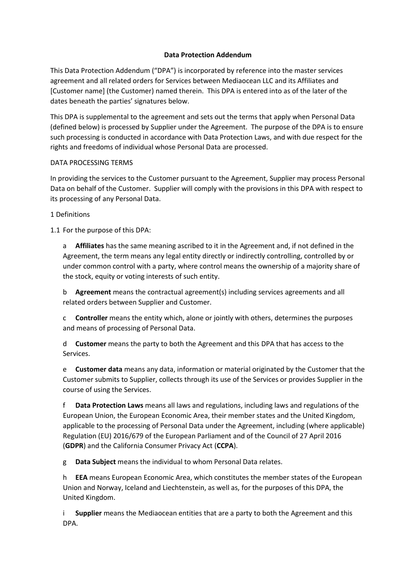## **Data Protection Addendum**

This Data Protection Addendum ("DPA") is incorporated by reference into the master services agreement and all related orders for Services between Mediaocean LLC and its Affiliates and [Customer name] (the Customer) named therein. This DPA is entered into as of the later of the dates beneath the parties' signatures below.

This DPA is supplemental to the agreement and sets out the terms that apply when Personal Data (defined below) is processed by Supplier under the Agreement. The purpose of the DPA is to ensure such processing is conducted in accordance with Data Protection Laws, and with due respect for the rights and freedoms of individual whose Personal Data are processed.

#### DATA PROCESSING TERMS

In providing the services to the Customer pursuant to the Agreement, Supplier may process Personal Data on behalf of the Customer. Supplier will comply with the provisions in this DPA with respect to its processing of any Personal Data.

## 1 Definitions

1.1 For the purpose of this DPA:

a **Affiliates** has the same meaning ascribed to it in the Agreement and, if not defined in the Agreement, the term means any legal entity directly or indirectly controlling, controlled by or under common control with a party, where control means the ownership of a majority share of the stock, equity or voting interests of such entity.

b **Agreement** means the contractual agreement(s) including services agreements and all related orders between Supplier and Customer.

c **Controller** means the entity which, alone or jointly with others, determines the purposes and means of processing of Personal Data.

d **Customer** means the party to both the Agreement and this DPA that has access to the Services.

e **Customer data** means any data, information or material originated by the Customer that the Customer submits to Supplier, collects through its use of the Services or provides Supplier in the course of using the Services.

f **Data Protection Laws** means all laws and regulations, including laws and regulations of the European Union, the European Economic Area, their member states and the United Kingdom, applicable to the processing of Personal Data under the Agreement, including (where applicable) Regulation (EU) 2016/679 of the European Parliament and of the Council of 27 April 2016 (**GDPR**) and the California Consumer Privacy Act (**CCPA**).

g **Data Subject** means the individual to whom Personal Data relates.

h **EEA** means European Economic Area, which constitutes the member states of the European Union and Norway, Iceland and Liechtenstein, as well as, for the purposes of this DPA, the United Kingdom.

i **Supplier** means the Mediaocean entities that are a party to both the Agreement and this DPA.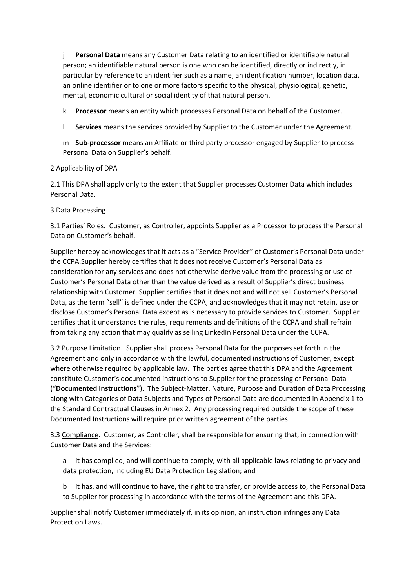j **Personal Data** means any Customer Data relating to an identified or identifiable natural person; an identifiable natural person is one who can be identified, directly or indirectly, in particular by reference to an identifier such as a name, an identification number, location data, an online identifier or to one or more factors specific to the physical, physiological, genetic, mental, economic cultural or social identity of that natural person.

k **Processor** means an entity which processes Personal Data on behalf of the Customer.

l **Services** means the services provided by Supplier to the Customer under the Agreement.

m **Sub-processor** means an Affiliate or third party processor engaged by Supplier to process Personal Data on Supplier's behalf.

# 2 Applicability of DPA

2.1 This DPA shall apply only to the extent that Supplier processes Customer Data which includes Personal Data.

# 3 Data Processing

3.1 Parties' Roles. Customer, as Controller, appoints Supplier as a Processor to process the Personal Data on Customer's behalf.

Supplier hereby acknowledges that it acts as a "Service Provider" of Customer's Personal Data under the CCPA.Supplier hereby certifies that it does not receive Customer's Personal Data as consideration for any services and does not otherwise derive value from the processing or use of Customer's Personal Data other than the value derived as a result of Supplier's direct business relationship with Customer. Supplier certifies that it does not and will not sell Customer's Personal Data, as the term "sell" is defined under the CCPA, and acknowledges that it may not retain, use or disclose Customer's Personal Data except as is necessary to provide services to Customer. Supplier certifies that it understands the rules, requirements and definitions of the CCPA and shall refrain from taking any action that may qualify as selling LinkedIn Personal Data under the CCPA.

3.2 Purpose Limitation. Supplier shall process Personal Data for the purposes set forth in the Agreement and only in accordance with the lawful, documented instructions of Customer, except where otherwise required by applicable law. The parties agree that this DPA and the Agreement constitute Customer's documented instructions to Supplier for the processing of Personal Data ("**Documented Instructions**"). The Subject-Matter, Nature, Purpose and Duration of Data Processing along with Categories of Data Subjects and Types of Personal Data are documented in Appendix 1 to the Standard Contractual Clauses in Annex 2. Any processing required outside the scope of these Documented Instructions will require prior written agreement of the parties.

3.3 Compliance. Customer, as Controller, shall be responsible for ensuring that, in connection with Customer Data and the Services:

a it has complied, and will continue to comply, with all applicable laws relating to privacy and data protection, including EU Data Protection Legislation; and

b it has, and will continue to have, the right to transfer, or provide access to, the Personal Data to Supplier for processing in accordance with the terms of the Agreement and this DPA.

Supplier shall notify Customer immediately if, in its opinion, an instruction infringes any Data Protection Laws.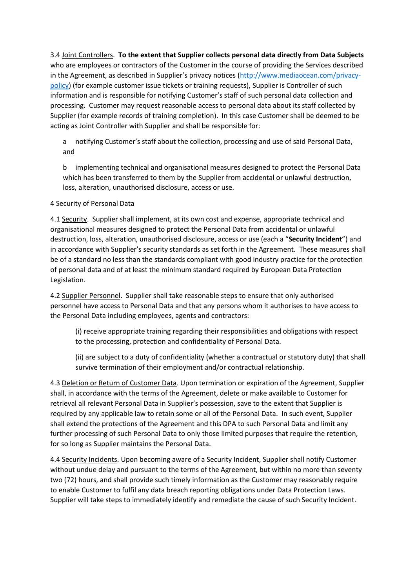3.4 Joint Controllers. **To the extent that Supplier collects personal data directly from Data Subjects** who are employees or contractors of the Customer in the course of providing the Services described in the Agreement, as described in Supplier's privacy notices ([http://www.mediaocean.com/privacy](http://www.mediaocean.com/privacy-policy)[policy\)](http://www.mediaocean.com/privacy-policy) (for example customer issue tickets or training requests), Supplier is Controller of such information and is responsible for notifying Customer's staff of such personal data collection and processing. Customer may request reasonable access to personal data about its staff collected by Supplier (for example records of training completion). In this case Customer shall be deemed to be acting as Joint Controller with Supplier and shall be responsible for:

a notifying Customer's staff about the collection, processing and use of said Personal Data, and

b implementing technical and organisational measures designed to protect the Personal Data which has been transferred to them by the Supplier from accidental or unlawful destruction, loss, alteration, unauthorised disclosure, access or use.

## 4 Security of Personal Data

4.1 Security. Supplier shall implement, at its own cost and expense, appropriate technical and organisational measures designed to protect the Personal Data from accidental or unlawful destruction, loss, alteration, unauthorised disclosure, access or use (each a "**Security Incident**") and in accordance with Supplier's security standards as set forth in the Agreement. These measures shall be of a standard no less than the standards compliant with good industry practice for the protection of personal data and of at least the minimum standard required by European Data Protection Legislation.

4.2 Supplier Personnel. Supplier shall take reasonable steps to ensure that only authorised personnel have access to Personal Data and that any persons whom it authorises to have access to the Personal Data including employees, agents and contractors:

(i) receive appropriate training regarding their responsibilities and obligations with respect to the processing, protection and confidentiality of Personal Data.

(ii) are subject to a duty of confidentiality (whether a contractual or statutory duty) that shall survive termination of their employment and/or contractual relationship.

4.3 Deletion or Return of Customer Data. Upon termination or expiration of the Agreement, Supplier shall, in accordance with the terms of the Agreement, delete or make available to Customer for retrieval all relevant Personal Data in Supplier's possession, save to the extent that Supplier is required by any applicable law to retain some or all of the Personal Data. In such event, Supplier shall extend the protections of the Agreement and this DPA to such Personal Data and limit any further processing of such Personal Data to only those limited purposes that require the retention, for so long as Supplier maintains the Personal Data.

4.4 Security Incidents. Upon becoming aware of a Security Incident, Supplier shall notify Customer without undue delay and pursuant to the terms of the Agreement, but within no more than seventy two (72) hours, and shall provide such timely information as the Customer may reasonably require to enable Customer to fulfil any data breach reporting obligations under Data Protection Laws. Supplier will take steps to immediately identify and remediate the cause of such Security Incident.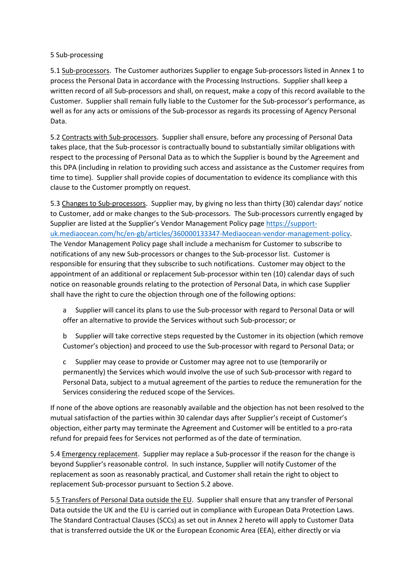## 5 Sub-processing

5.1 Sub-processors. The Customer authorizes Supplier to engage Sub-processors listed in Annex 1 to process the Personal Data in accordance with the Processing Instructions. Supplier shall keep a written record of all Sub-processors and shall, on request, make a copy of this record available to the Customer. Supplier shall remain fully liable to the Customer for the Sub-processor's performance, as well as for any acts or omissions of the Sub-processor as regards its processing of Agency Personal Data.

5.2 Contracts with Sub-processors. Supplier shall ensure, before any processing of Personal Data takes place, that the Sub-processor is contractually bound to substantially similar obligations with respect to the processing of Personal Data as to which the Supplier is bound by the Agreement and this DPA (including in relation to providing such access and assistance as the Customer requires from time to time). Supplier shall provide copies of documentation to evidence its compliance with this clause to the Customer promptly on request.

5.3 Changes to Sub-processors. Supplier may, by giving no less than thirty (30) calendar days' notice to Customer, add or make changes to the Sub-processors. The Sub-processors currently engaged by Supplier are listed at the Supplier's Vendor Management Policy page [https://support](https://support-uk.mediaocean.com/hc/en-gb/articles/360000133347-Mediaocean-vendor-management-policy)[uk.mediaocean.com/hc/en-gb/articles/360000133347-Mediaocean-vendor-management-policy.](https://support-uk.mediaocean.com/hc/en-gb/articles/360000133347-Mediaocean-vendor-management-policy) The Vendor Management Policy page shall include a mechanism for Customer to subscribe to notifications of any new Sub-processors or changes to the Sub-processor list. Customer is responsible for ensuring that they subscribe to such notifications. Customer may object to the appointment of an additional or replacement Sub-processor within ten (10) calendar days of such notice on reasonable grounds relating to the protection of Personal Data, in which case Supplier shall have the right to cure the objection through one of the following options:

a Supplier will cancel its plans to use the Sub-processor with regard to Personal Data or will offer an alternative to provide the Services without such Sub-processor; or

b Supplier will take corrective steps requested by the Customer in its objection (which remove Customer's objection) and proceed to use the Sub-processor with regard to Personal Data; or

c Supplier may cease to provide or Customer may agree not to use (temporarily or permanently) the Services which would involve the use of such Sub-processor with regard to Personal Data, subject to a mutual agreement of the parties to reduce the remuneration for the Services considering the reduced scope of the Services.

If none of the above options are reasonably available and the objection has not been resolved to the mutual satisfaction of the parties within 30 calendar days after Supplier's receipt of Customer's objection, either party may terminate the Agreement and Customer will be entitled to a pro-rata refund for prepaid fees for Services not performed as of the date of termination.

5.4 Emergency replacement. Supplier may replace a Sub-processor if the reason for the change is beyond Supplier's reasonable control. In such instance, Supplier will notify Customer of the replacement as soon as reasonably practical, and Customer shall retain the right to object to replacement Sub-processor pursuant to Section 5.2 above.

5.5 Transfers of Personal Data outside the EU. Supplier shall ensure that any transfer of Personal Data outside the UK and the EU is carried out in compliance with European Data Protection Laws. The Standard Contractual Clauses (SCCs) as set out in Annex 2 hereto will apply to Customer Data that is transferred outside the UK or the European Economic Area (EEA), either directly or via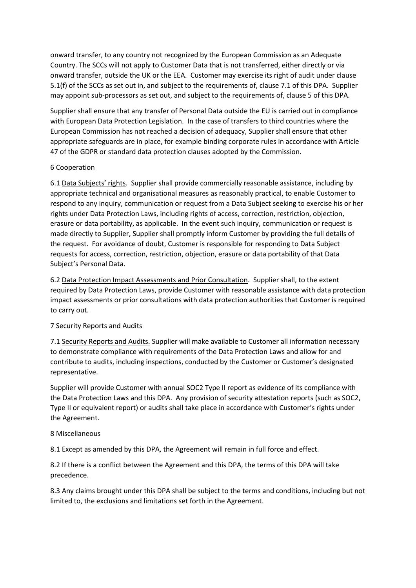onward transfer, to any country not recognized by the European Commission as an Adequate Country. The SCCs will not apply to Customer Data that is not transferred, either directly or via onward transfer, outside the UK or the EEA. Customer may exercise its right of audit under clause 5.1(f) of the SCCs as set out in, and subject to the requirements of, clause 7.1 of this DPA. Supplier may appoint sub-processors as set out, and subject to the requirements of, clause 5 of this DPA.

Supplier shall ensure that any transfer of Personal Data outside the EU is carried out in compliance with European Data Protection Legislation. In the case of transfers to third countries where the European Commission has not reached a decision of adequacy, Supplier shall ensure that other appropriate safeguards are in place, for example binding corporate rules in accordance with Article 47 of the GDPR or standard data protection clauses adopted by the Commission.

#### 6 Cooperation

6.1 Data Subjects' rights. Supplier shall provide commercially reasonable assistance, including by appropriate technical and organisational measures as reasonably practical, to enable Customer to respond to any inquiry, communication or request from a Data Subject seeking to exercise his or her rights under Data Protection Laws, including rights of access, correction, restriction, objection, erasure or data portability, as applicable. In the event such inquiry, communication or request is made directly to Supplier, Supplier shall promptly inform Customer by providing the full details of the request. For avoidance of doubt, Customer is responsible for responding to Data Subject requests for access, correction, restriction, objection, erasure or data portability of that Data Subject's Personal Data.

6.2 Data Protection Impact Assessments and Prior Consultation. Supplier shall, to the extent required by Data Protection Laws, provide Customer with reasonable assistance with data protection impact assessments or prior consultations with data protection authorities that Customer is required to carry out.

#### 7 Security Reports and Audits

7.1 Security Reports and Audits. Supplier will make available to Customer all information necessary to demonstrate compliance with requirements of the Data Protection Laws and allow for and contribute to audits, including inspections, conducted by the Customer or Customer's designated representative.

Supplier will provide Customer with annual SOC2 Type II report as evidence of its compliance with the Data Protection Laws and this DPA. Any provision of security attestation reports (such as SOC2, Type II or equivalent report) or audits shall take place in accordance with Customer's rights under the Agreement.

#### 8 Miscellaneous

8.1 Except as amended by this DPA, the Agreement will remain in full force and effect.

8.2 If there is a conflict between the Agreement and this DPA, the terms of this DPA will take precedence.

8.3 Any claims brought under this DPA shall be subject to the terms and conditions, including but not limited to, the exclusions and limitations set forth in the Agreement.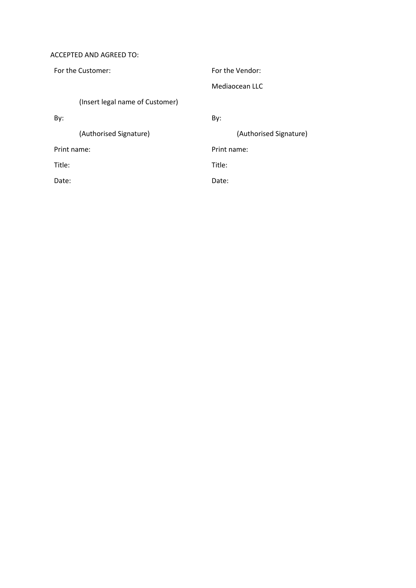#### ACCEPTED AND AGREED TO:

| For the Customer: |                                 | For the Vendor:        |
|-------------------|---------------------------------|------------------------|
|                   |                                 | Mediaocean LLC         |
|                   | (Insert legal name of Customer) |                        |
| By:               |                                 | By:                    |
|                   | (Authorised Signature)          | (Authorised Signature) |
| Print name:       |                                 | Print name:            |
| Title:            |                                 | Title:                 |
| Date:             |                                 | Date:                  |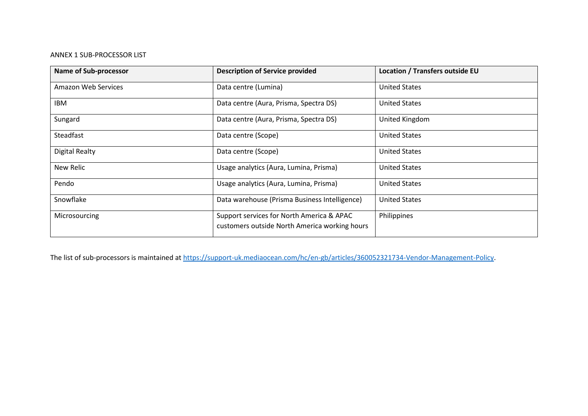### ANNEX 1 SUB-PROCESSOR LIST

| <b>Name of Sub-processor</b> | <b>Description of Service provided</b>                                                     | <b>Location / Transfers outside EU</b> |
|------------------------------|--------------------------------------------------------------------------------------------|----------------------------------------|
| Amazon Web Services          | Data centre (Lumina)                                                                       | <b>United States</b>                   |
| IBM.                         | Data centre (Aura, Prisma, Spectra DS)                                                     | <b>United States</b>                   |
| Sungard                      | Data centre (Aura, Prisma, Spectra DS)                                                     | United Kingdom                         |
| Steadfast                    | Data centre (Scope)                                                                        | <b>United States</b>                   |
| <b>Digital Realty</b>        | Data centre (Scope)                                                                        | <b>United States</b>                   |
| New Relic                    | Usage analytics (Aura, Lumina, Prisma)                                                     | <b>United States</b>                   |
| Pendo                        | Usage analytics (Aura, Lumina, Prisma)                                                     | <b>United States</b>                   |
| Snowflake                    | Data warehouse (Prisma Business Intelligence)                                              | <b>United States</b>                   |
| Microsourcing                | Support services for North America & APAC<br>customers outside North America working hours | Philippines                            |

The list of sub-processors is maintained at [https://support-uk.mediaocean.com/hc/en-gb/articles/360052321734-Vendor-Management-Policy.](https://support-uk.mediaocean.com/hc/en-gb/articles/360052321734-Vendor-Management-Policy)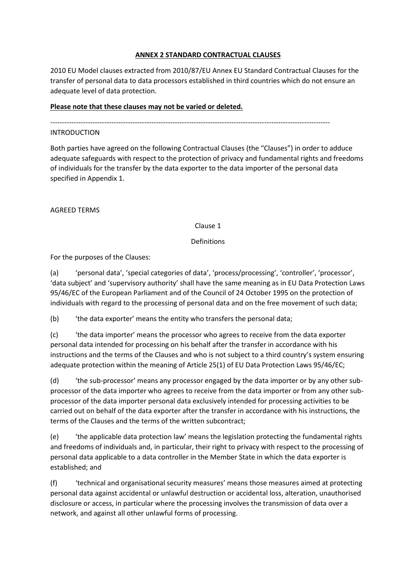## **ANNEX 2 STANDARD CONTRACTUAL CLAUSES**

2010 EU Model clauses extracted from 2010/87/EU Annex EU Standard Contractual Clauses for the transfer of personal data to data processors established in third countries which do not ensure an adequate level of data protection.

# **Please note that these clauses may not be varied or deleted.**

-----------------------------------------------------------------------------------------------------------------------

#### INTRODUCTION

Both parties have agreed on the following Contractual Clauses (the "Clauses") in order to adduce adequate safeguards with respect to the protection of privacy and fundamental rights and freedoms of individuals for the transfer by the data exporter to the data importer of the personal data specified in Appendix 1.

AGREED TERMS

## Clause 1

# Definitions

For the purposes of the Clauses:

(a) 'personal data', 'special categories of data', 'process/processing', 'controller', 'processor', 'data subject' and 'supervisory authority' shall have the same meaning as in EU Data Protection Laws 95/46/EC of the European Parliament and of the Council of 24 October 1995 on the protection of individuals with regard to the processing of personal data and on the free movement of such data;

(b) 'the data exporter' means the entity who transfers the personal data;

(c) 'the data importer' means the processor who agrees to receive from the data exporter personal data intended for processing on his behalf after the transfer in accordance with his instructions and the terms of the Clauses and who is not subject to a third country's system ensuring adequate protection within the meaning of Article 25(1) of EU Data Protection Laws 95/46/EC;

(d) the sub-processor' means any processor engaged by the data importer or by any other subprocessor of the data importer who agrees to receive from the data importer or from any other subprocessor of the data importer personal data exclusively intended for processing activities to be carried out on behalf of the data exporter after the transfer in accordance with his instructions, the terms of the Clauses and the terms of the written subcontract;

(e) 'the applicable data protection law' means the legislation protecting the fundamental rights and freedoms of individuals and, in particular, their right to privacy with respect to the processing of personal data applicable to a data controller in the Member State in which the data exporter is established; and

(f) 'technical and organisational security measures' means those measures aimed at protecting personal data against accidental or unlawful destruction or accidental loss, alteration, unauthorised disclosure or access, in particular where the processing involves the transmission of data over a network, and against all other unlawful forms of processing.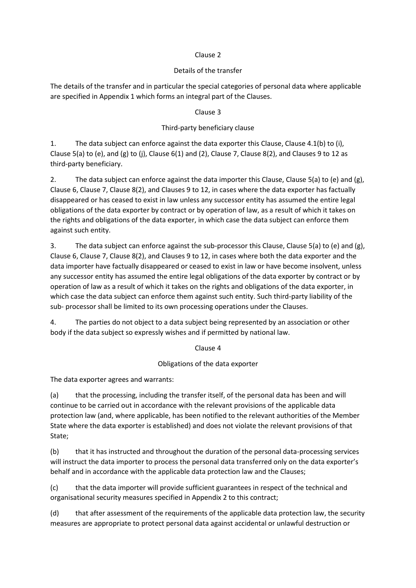## Clause 2

## Details of the transfer

The details of the transfer and in particular the special categories of personal data where applicable are specified in Appendix 1 which forms an integral part of the Clauses.

### Clause 3

## Third-party beneficiary clause

1. The data subject can enforce against the data exporter this Clause, Clause 4.1(b) to (i), Clause 5(a) to (e), and (g) to (j), Clause 6(1) and (2), Clause 7, Clause 8(2), and Clauses 9 to 12 as third-party beneficiary.

2. The data subject can enforce against the data importer this Clause, Clause 5(a) to (e) and (g), Clause 6, Clause 7, Clause 8(2), and Clauses 9 to 12, in cases where the data exporter has factually disappeared or has ceased to exist in law unless any successor entity has assumed the entire legal obligations of the data exporter by contract or by operation of law, as a result of which it takes on the rights and obligations of the data exporter, in which case the data subject can enforce them against such entity.

3. The data subject can enforce against the sub-processor this Clause, Clause 5(a) to (e) and (g), Clause 6, Clause 7, Clause 8(2), and Clauses 9 to 12, in cases where both the data exporter and the data importer have factually disappeared or ceased to exist in law or have become insolvent, unless any successor entity has assumed the entire legal obligations of the data exporter by contract or by operation of law as a result of which it takes on the rights and obligations of the data exporter, in which case the data subject can enforce them against such entity. Such third-party liability of the sub- processor shall be limited to its own processing operations under the Clauses.

4. The parties do not object to a data subject being represented by an association or other body if the data subject so expressly wishes and if permitted by national law.

# Clause 4

# Obligations of the data exporter

The data exporter agrees and warrants:

(a) that the processing, including the transfer itself, of the personal data has been and will continue to be carried out in accordance with the relevant provisions of the applicable data protection law (and, where applicable, has been notified to the relevant authorities of the Member State where the data exporter is established) and does not violate the relevant provisions of that State;

(b) that it has instructed and throughout the duration of the personal data-processing services will instruct the data importer to process the personal data transferred only on the data exporter's behalf and in accordance with the applicable data protection law and the Clauses;

(c) that the data importer will provide sufficient guarantees in respect of the technical and organisational security measures specified in Appendix 2 to this contract;

(d) that after assessment of the requirements of the applicable data protection law, the security measures are appropriate to protect personal data against accidental or unlawful destruction or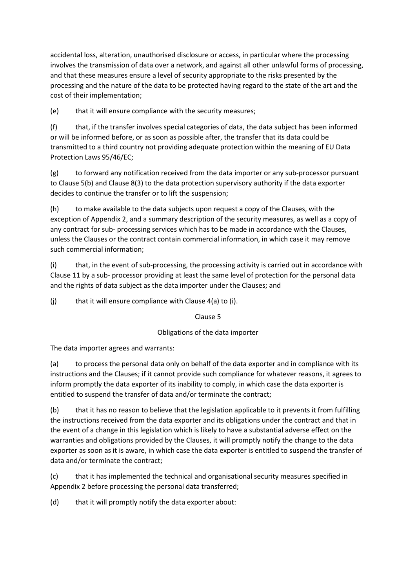accidental loss, alteration, unauthorised disclosure or access, in particular where the processing involves the transmission of data over a network, and against all other unlawful forms of processing, and that these measures ensure a level of security appropriate to the risks presented by the processing and the nature of the data to be protected having regard to the state of the art and the cost of their implementation;

(e) that it will ensure compliance with the security measures;

(f) that, if the transfer involves special categories of data, the data subject has been informed or will be informed before, or as soon as possible after, the transfer that its data could be transmitted to a third country not providing adequate protection within the meaning of EU Data Protection Laws 95/46/EC;

(g) to forward any notification received from the data importer or any sub-processor pursuant to Clause 5(b) and Clause 8(3) to the data protection supervisory authority if the data exporter decides to continue the transfer or to lift the suspension;

(h) to make available to the data subjects upon request a copy of the Clauses, with the exception of Appendix 2, and a summary description of the security measures, as well as a copy of any contract for sub- processing services which has to be made in accordance with the Clauses, unless the Clauses or the contract contain commercial information, in which case it may remove such commercial information;

(i) that, in the event of sub-processing, the processing activity is carried out in accordance with Clause 11 by a sub- processor providing at least the same level of protection for the personal data and the rights of data subject as the data importer under the Clauses; and

(i) that it will ensure compliance with Clause  $4(a)$  to (i).

Clause 5

# Obligations of the data importer

The data importer agrees and warrants:

(a) to process the personal data only on behalf of the data exporter and in compliance with its instructions and the Clauses; if it cannot provide such compliance for whatever reasons, it agrees to inform promptly the data exporter of its inability to comply, in which case the data exporter is entitled to suspend the transfer of data and/or terminate the contract;

(b) that it has no reason to believe that the legislation applicable to it prevents it from fulfilling the instructions received from the data exporter and its obligations under the contract and that in the event of a change in this legislation which is likely to have a substantial adverse effect on the warranties and obligations provided by the Clauses, it will promptly notify the change to the data exporter as soon as it is aware, in which case the data exporter is entitled to suspend the transfer of data and/or terminate the contract;

(c) that it has implemented the technical and organisational security measures specified in Appendix 2 before processing the personal data transferred;

(d) that it will promptly notify the data exporter about: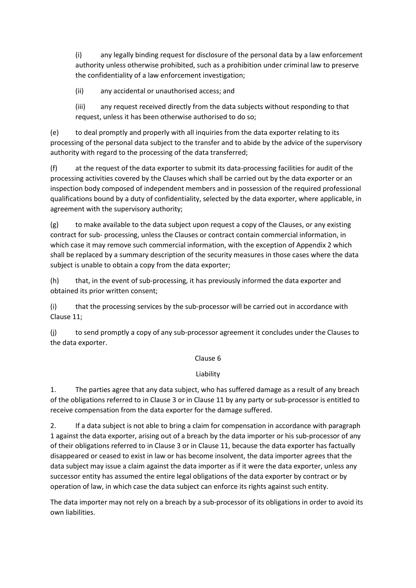(i) any legally binding request for disclosure of the personal data by a law enforcement authority unless otherwise prohibited, such as a prohibition under criminal law to preserve the confidentiality of a law enforcement investigation;

(ii) any accidental or unauthorised access; and

(iii) any request received directly from the data subjects without responding to that request, unless it has been otherwise authorised to do so;

(e) to deal promptly and properly with all inquiries from the data exporter relating to its processing of the personal data subject to the transfer and to abide by the advice of the supervisory authority with regard to the processing of the data transferred;

(f) at the request of the data exporter to submit its data-processing facilities for audit of the processing activities covered by the Clauses which shall be carried out by the data exporter or an inspection body composed of independent members and in possession of the required professional qualifications bound by a duty of confidentiality, selected by the data exporter, where applicable, in agreement with the supervisory authority;

(g) to make available to the data subject upon request a copy of the Clauses, or any existing contract for sub- processing, unless the Clauses or contract contain commercial information, in which case it may remove such commercial information, with the exception of Appendix 2 which shall be replaced by a summary description of the security measures in those cases where the data subject is unable to obtain a copy from the data exporter;

(h) that, in the event of sub-processing, it has previously informed the data exporter and obtained its prior written consent;

(i) that the processing services by the sub-processor will be carried out in accordance with Clause 11;

(j) to send promptly a copy of any sub-processor agreement it concludes under the Clauses to the data exporter.

# Clause 6

# Liability

1. The parties agree that any data subject, who has suffered damage as a result of any breach of the obligations referred to in Clause 3 or in Clause 11 by any party or sub-processor is entitled to receive compensation from the data exporter for the damage suffered.

2. If a data subject is not able to bring a claim for compensation in accordance with paragraph 1 against the data exporter, arising out of a breach by the data importer or his sub-processor of any of their obligations referred to in Clause 3 or in Clause 11, because the data exporter has factually disappeared or ceased to exist in law or has become insolvent, the data importer agrees that the data subject may issue a claim against the data importer as if it were the data exporter, unless any successor entity has assumed the entire legal obligations of the data exporter by contract or by operation of law, in which case the data subject can enforce its rights against such entity.

The data importer may not rely on a breach by a sub-processor of its obligations in order to avoid its own liabilities.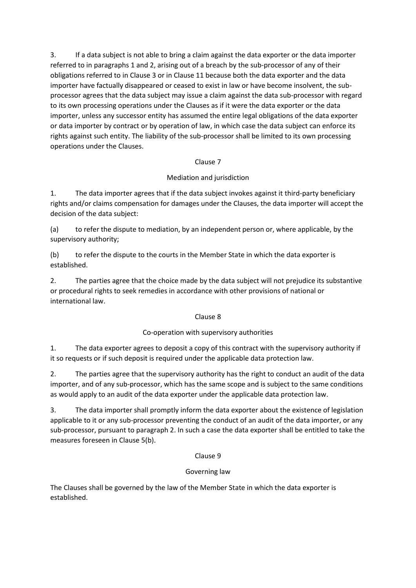3. If a data subject is not able to bring a claim against the data exporter or the data importer referred to in paragraphs 1 and 2, arising out of a breach by the sub-processor of any of their obligations referred to in Clause 3 or in Clause 11 because both the data exporter and the data importer have factually disappeared or ceased to exist in law or have become insolvent, the subprocessor agrees that the data subject may issue a claim against the data sub-processor with regard to its own processing operations under the Clauses as if it were the data exporter or the data importer, unless any successor entity has assumed the entire legal obligations of the data exporter or data importer by contract or by operation of law, in which case the data subject can enforce its rights against such entity. The liability of the sub-processor shall be limited to its own processing operations under the Clauses.

# Clause 7

# Mediation and jurisdiction

1. The data importer agrees that if the data subject invokes against it third-party beneficiary rights and/or claims compensation for damages under the Clauses, the data importer will accept the decision of the data subject:

(a) to refer the dispute to mediation, by an independent person or, where applicable, by the supervisory authority;

(b) to refer the dispute to the courts in the Member State in which the data exporter is established.

2. The parties agree that the choice made by the data subject will not prejudice its substantive or procedural rights to seek remedies in accordance with other provisions of national or international law.

# Clause 8

# Co-operation with supervisory authorities

1. The data exporter agrees to deposit a copy of this contract with the supervisory authority if it so requests or if such deposit is required under the applicable data protection law.

2. The parties agree that the supervisory authority has the right to conduct an audit of the data importer, and of any sub-processor, which has the same scope and is subject to the same conditions as would apply to an audit of the data exporter under the applicable data protection law.

3. The data importer shall promptly inform the data exporter about the existence of legislation applicable to it or any sub-processor preventing the conduct of an audit of the data importer, or any sub-processor, pursuant to paragraph 2. In such a case the data exporter shall be entitled to take the measures foreseen in Clause 5(b).

# Clause 9

# Governing law

The Clauses shall be governed by the law of the Member State in which the data exporter is established.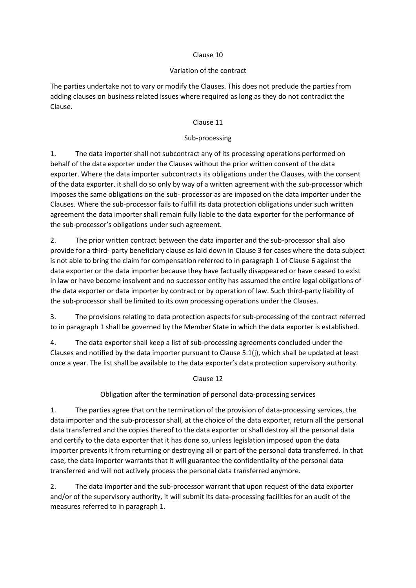## Clause 10

## Variation of the contract

The parties undertake not to vary or modify the Clauses. This does not preclude the parties from adding clauses on business related issues where required as long as they do not contradict the Clause.

## Clause 11

# Sub-processing

1. The data importer shall not subcontract any of its processing operations performed on behalf of the data exporter under the Clauses without the prior written consent of the data exporter. Where the data importer subcontracts its obligations under the Clauses, with the consent of the data exporter, it shall do so only by way of a written agreement with the sub-processor which imposes the same obligations on the sub- processor as are imposed on the data importer under the Clauses. Where the sub-processor fails to fulfill its data protection obligations under such written agreement the data importer shall remain fully liable to the data exporter for the performance of the sub-processor's obligations under such agreement.

2. The prior written contract between the data importer and the sub-processor shall also provide for a third- party beneficiary clause as laid down in Clause 3 for cases where the data subject is not able to bring the claim for compensation referred to in paragraph 1 of Clause 6 against the data exporter or the data importer because they have factually disappeared or have ceased to exist in law or have become insolvent and no successor entity has assumed the entire legal obligations of the data exporter or data importer by contract or by operation of law. Such third-party liability of the sub-processor shall be limited to its own processing operations under the Clauses.

3. The provisions relating to data protection aspects for sub-processing of the contract referred to in paragraph 1 shall be governed by the Member State in which the data exporter is established.

4. The data exporter shall keep a list of sub-processing agreements concluded under the Clauses and notified by the data importer pursuant to Clause 5.1(j), which shall be updated at least once a year. The list shall be available to the data exporter's data protection supervisory authority.

Clause 12

Obligation after the termination of personal data-processing services

1. The parties agree that on the termination of the provision of data-processing services, the data importer and the sub-processor shall, at the choice of the data exporter, return all the personal data transferred and the copies thereof to the data exporter or shall destroy all the personal data and certify to the data exporter that it has done so, unless legislation imposed upon the data importer prevents it from returning or destroying all or part of the personal data transferred. In that case, the data importer warrants that it will guarantee the confidentiality of the personal data transferred and will not actively process the personal data transferred anymore.

2. The data importer and the sub-processor warrant that upon request of the data exporter and/or of the supervisory authority, it will submit its data-processing facilities for an audit of the measures referred to in paragraph 1.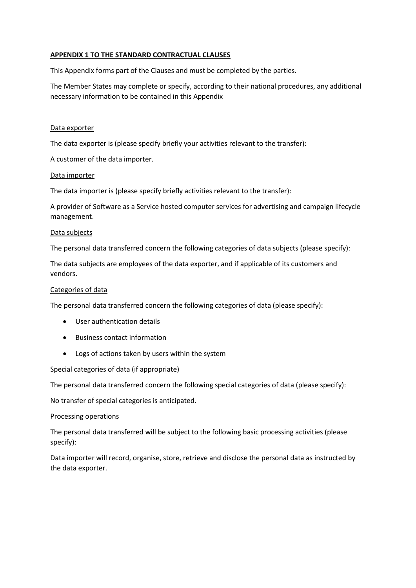#### **APPENDIX 1 TO THE STANDARD CONTRACTUAL CLAUSES**

This Appendix forms part of the Clauses and must be completed by the parties.

The Member States may complete or specify, according to their national procedures, any additional necessary information to be contained in this Appendix

### Data exporter

The data exporter is (please specify briefly your activities relevant to the transfer):

A customer of the data importer.

#### Data importer

The data importer is (please specify briefly activities relevant to the transfer):

A provider of Software as a Service hosted computer services for advertising and campaign lifecycle management.

#### Data subjects

The personal data transferred concern the following categories of data subjects (please specify):

The data subjects are employees of the data exporter, and if applicable of its customers and vendors.

### Categories of data

The personal data transferred concern the following categories of data (please specify):

- User authentication details
- Business contact information
- Logs of actions taken by users within the system

#### Special categories of data (if appropriate)

The personal data transferred concern the following special categories of data (please specify):

No transfer of special categories is anticipated.

#### Processing operations

The personal data transferred will be subject to the following basic processing activities (please specify):

Data importer will record, organise, store, retrieve and disclose the personal data as instructed by the data exporter.